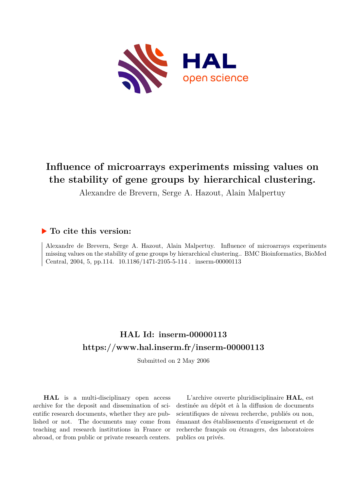

# **Influence of microarrays experiments missing values on the stability of gene groups by hierarchical clustering.**

Alexandre de Brevern, Serge A. Hazout, Alain Malpertuy

# **To cite this version:**

Alexandre de Brevern, Serge A. Hazout, Alain Malpertuy. Influence of microarrays experiments missing values on the stability of gene groups by hierarchical clustering.. BMC Bioinformatics, BioMed Central, 2004, 5, pp.114.  $10.1186/1471-2105-5-114$ . inserm-00000113

# **HAL Id: inserm-00000113 <https://www.hal.inserm.fr/inserm-00000113>**

Submitted on 2 May 2006

**HAL** is a multi-disciplinary open access archive for the deposit and dissemination of scientific research documents, whether they are published or not. The documents may come from teaching and research institutions in France or abroad, or from public or private research centers.

L'archive ouverte pluridisciplinaire **HAL**, est destinée au dépôt et à la diffusion de documents scientifiques de niveau recherche, publiés ou non, émanant des établissements d'enseignement et de recherche français ou étrangers, des laboratoires publics ou privés.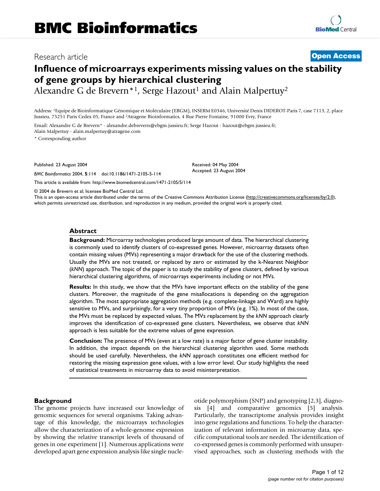# Research article **Contract Contract Contract Contract Contract Contract Contract Contract Contract Contract Contract Contract Contract Contract Contract Contract Contract Contract Contract Contract Contract Contract Contra**

# **Influence of microarrays experiments missing values on the stability of gene groups by hierarchical clustering**

Alexandre G de Brevern\*<sup>1</sup>, Serge Hazout<sup>1</sup> and Alain Malpertuy<sup>2</sup>

Address: <sup>1</sup>Equipe de Bioinformatique Génomique et Moléculaire (EBGM), INSERM E0346, Université Denis DIDEROT-Paris 7, case 7113, 2, place Jussieu, 75251 Paris Cedex 05, France and <sup>2</sup>Atragene Bioinformatics, 4 Rue Pierre Fontaine, 91000 Evry, France

Email: Alexandre G de Brevern\* - alexandre.debrevern@ebgm.jussieu.fr; Serge Hazout - hazout@ebgm.jussieu.fr; Alain Malpertuy - alain.malpertuy@atragene.com

\* Corresponding author

Published: 23 August 2004

*BMC Bioinformatics* 2004, **5**:114 doi:10.1186/1471-2105-5-114

[This article is available from: http://www.biomedcentral.com/1471-2105/5/114](http://www.biomedcentral.com/1471-2105/5/114)

Received: 04 May 2004 Accepted: 23 August 2004

© 2004 de Brevern et al; licensee BioMed Central Ltd.

This is an open-access article distributed under the terms of the Creative Commons Attribution License (<http://creativecommons.org/licenses/by/2.0>), which permits unrestricted use, distribution, and reproduction in any medium, provided the original work is properly cited.

#### **Abstract**

**Background:** Microarray technologies produced large amount of data. The hierarchical clustering is commonly used to identify clusters of co-expressed genes. However, microarray datasets often contain missing values (MVs) representing a major drawback for the use of the clustering methods. Usually the MVs are not treated, or replaced by zero or estimated by the k-Nearest Neighbor (*kNN*) approach. The topic of the paper is to study the stability of gene clusters, defined by various hierarchical clustering algorithms, of microarrays experiments including or not MVs.

**Results:** In this study, we show that the MVs have important effects on the stability of the gene clusters. Moreover, the magnitude of the gene misallocations is depending on the aggregation algorithm. The most appropriate aggregation methods (e.g. complete-linkage and Ward) are highly sensitive to MVs, and surprisingly, for a very tiny proportion of MVs (e.g. 1%). In most of the case, the MVs must be replaced by expected values. The MVs replacement by the *kNN* approach clearly improves the identification of co-expressed gene clusters. Nevertheless, we observe that *kNN* approach is less suitable for the extreme values of gene expression.

**Conclusion:** The presence of MVs (even at a low rate) is a major factor of gene cluster instability. In addition, the impact depends on the hierarchical clustering algorithm used. Some methods should be used carefully. Nevertheless, the *kNN* approach constitutes one efficient method for restoring the missing expression gene values, with a low error level. Our study highlights the need of statistical treatments in microarray data to avoid misinterpretation.

#### **Background**

The genome projects have increased our knowledge of genomic sequences for several organisms. Taking advantage of this knowledge, the microarrays technologies allow the characterization of a whole-genome expression by showing the relative transcript levels of thousand of genes in one experiment [1]. Numerous applications were developed apart gene expression analysis like single nucleotide polymorphism (SNP) and genotyping [2,3], diagnosis [4] and comparative genomics [5] analysis. Particularly, the transcriptome analysis provides insight into gene regulations and functions. To help the characterization of relevant information in microarray data, specific computational tools are needed. The identification of co-expressed genes is commonly performed with unsupervised approaches, such as clustering methods with the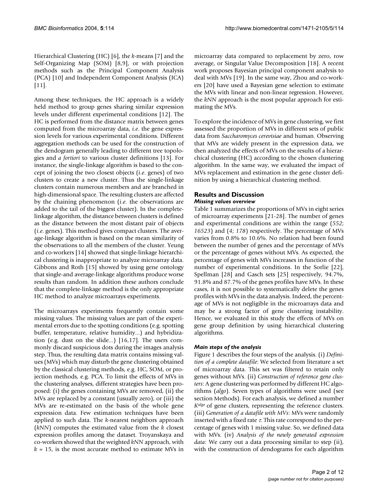Hierarchical Clustering (HC) [6], the *k*-means [7] and the Self-Organizing Map (SOM) [8,9], or with projection methods such as the Principal Component Analysis (PCA) [10] and Independent Component Analysis (ICA) [11].

Among these techniques, the HC approach is a widely held method to group genes sharing similar expression levels under different experimental conditions [12]. The HC is performed from the distance matrix between genes computed from the microarray data, *i.e*. the gene expression levels for various experimental conditions. Different aggregation methods can be used for the construction of the dendogram generally leading to different tree topologies and *a fortiori* to various cluster definitions [13]. For instance, the single-linkage algorithm is based to the concept of joining the two closest objects (*i.e*. genes) of two clusters to create a new cluster. Thus the single-linkage clusters contain numerous members and are branched in high-dimensional space. The resulting clusters are affected by the chaining phenomenon (*i.e*. the observations are added to the tail of the biggest cluster). In the completelinkage algorithm, the distance between clusters is defined as the distance between the most distant pair of objects (*i.e*. genes). This method gives compact clusters. The average-linkage algorithm is based on the mean similarity of the observations to all the members of the cluster. Yeung and co-workers [14] showed that single-linkage hierarchical clustering is inappropriate to analyze microarray data. Gibbons and Roth [15] showed by using gene ontology that single-and average-linkage algorithms produce worse results than random. In addition these authors conclude that the complete-linkage method is the only appropriate HC method to analyze microarrays experiments.

The microarrays experiments frequently contain some missing values. The missing values are part of the experimental errors due to the spotting conditions (e.g. spotting buffer, temperature, relative humidity...) and hybridization (e.g. dust on the slide...) [16,17]. The users commonly discard suspicious dots during the images analysis step. Thus, the resulting data matrix contains missing values (MVs) which may disturb the gene clustering obtained by the classical clustering methods, e.g. HC, SOM, or projection methods, e.g. PCA. To limit the effects of MVs in the clustering analyses, different strategies have been proposed: (i) the genes containing MVs are removed, (ii) the MVs are replaced by a constant (usually zero), or (iii) the MVs are re-estimated on the basis of the whole gene expression data. Few estimation techniques have been applied to such data. The *k*-nearest neighbors approach (*kNN*) computes the estimated value from the *k* closest expression profiles among the dataset. Troyanskaya and co-workers showed that the weighted *kNN* approach, with  $k = 15$ , is the most accurate method to estimate MVs in

microarray data compared to replacement by zero, row average, or Singular Value Decomposition [18]. A recent work proposes Bayesian principal component analysis to deal with MVs [19]. In the same way, Zhou and co-workers [20] have used a Bayesian gene selection to estimate the MVs with linear and non-linear regression. However, the *kNN* approach is the most popular approach for estimating the MVs.

To explore the incidence of MVs in gene clustering, we first assessed the proportion of MVs in different sets of public data from *Saccharomyces cerevisiae* and human. Observing that MVs are widely present in the expression data, we then analyzed the effects of MVs on the results of a hierarchical clustering (HC) according to the chosen clustering algorithm. In the same way, we evaluated the impact of MVs replacement and estimation in the gene cluster definition by using a hierarchical clustering method.

# **Results and Discussion** *Missing values overview*

Table [1](#page-3-0) summarizes the proportions of MVs in eight series of microarray experiments [21-[28](#page-12-0)]. The number of genes and experimental conditions are within the range (*552*; *16523*) and (*4*; *178*) respectively. The percentage of MVs varies from 0.8% to 10.6%. No relation had been found between the number of genes and the percentage of MVs or the percentage of genes without MVs. As expected, the percentage of genes with MVs increases in function of the number of experimental conditions. In the Sorlie [22], Spellman [\[28](#page-12-0)] and Gasch sets [25] respectively, 94.7%, 91.8% and 87.7% of the genes profiles have MVs. In these cases, it is not possible to systematically delete the genes profiles with MVs in the data analysis. Indeed, the percentage of MVs is not negligible in the microarrays data and may be a strong factor of gene clustering instability. Hence, we evaluated in this study the effects of MVs on gene group definition by using hierarchical clustering algorithms.

# *Main steps of the analysis*

Figure 1 describes the four steps of the analysis. (i) *Definition of a complete datafile*: We selected from literature a set of microarray data. This set was filtered to retain only genes without MVs. (ii) *Construction of reference gene clusters*: A gene clustering was performed by different HC algorithms (*algo*). Seven types of algorithms were used (see section Methods). For each analysis, we defined a number *Kalgo* of gene clusters, representing the reference clusters. (iii) *Generation of a datafile with MVs*: MVs were randomly inserted with a fixed rate  $\tau$ . This rate correspond to the percentage of genes with 1 missing value. So, we defined data with MVs. (iv) *Analysis of the newly generated expression data:* We carry out a data processing similar to step (ii), with the construction of dendograms for each algorithm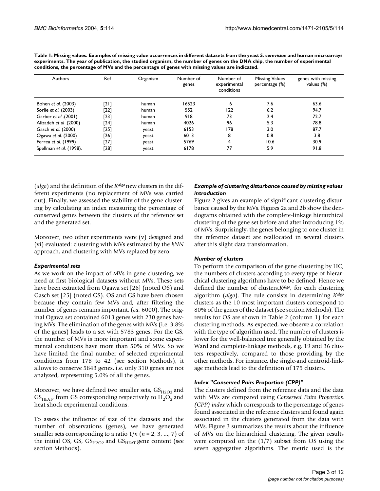| Authors                 | Ref    | Organism | Number of<br>genes | Number of<br>experimental<br>conditions | <b>Missing Values</b><br>percentage (%) | genes with missing<br>values (%) |
|-------------------------|--------|----------|--------------------|-----------------------------------------|-----------------------------------------|----------------------------------|
| Bohen et al. (2003)     | [2]    | human    | 16523              | 16                                      | 7.6                                     | 63.6                             |
| Sorlie et al. (2003)    | $[22]$ | human    | 552                | 122                                     | 6.2                                     | 94.7                             |
| Garber et al. (2001)    | [23]   | human    | 918                | 73                                      | 2.4                                     | 72.7                             |
| Alizadeh et al .(2000)  | [24]   | human    | 4026               | 96                                      | 5.3                                     | 78.8                             |
| Gasch et al. (2000)     | [25]   | yeast    | 6153               | 178                                     | 3.0                                     | 87.7                             |
| Ogawa et al. (2000)     | [26]   | yeast    | 6013               | 8                                       | 0.8                                     | 3.8                              |
| Ferrea et al. (1999)    | $[27]$ | yeast    | 5769               | 4                                       | 10.6                                    | 30.9                             |
| Spellman et al. (1998). | [28]   | yeast    | 6178               | 77                                      | 5.9                                     | 91.8                             |

<span id="page-3-0"></span>**Table 1: Missing values. Examples of missing value occurrences in different datasets from the yeast** *S. cerevisiae* **and human microarrays experiments. The year of publication, the studied organism, the number of genes on the DNA chip, the number of experimental conditions, the percentage of MVs and the percentage of genes with missing values are indicated.**

(*algo*) and the definition of the *Kalgo* new clusters in the different experiments (no replacement of MVs was carried out). Finally, we assessed the stability of the gene clustering by calculating an index measuring the percentage of conserved genes between the clusters of the reference set and the generated set.

Moreover, two other experiments were (v) designed and (vi) evaluated: clustering with MVs estimated by the *kNN* approach, and clustering with MVs replaced by zero.

#### *Experimental sets*

As we work on the impact of MVs in gene clustering, we need at first biological datasets without MVs. These sets have been extracted from Ogawa set [[26\]](#page-12-1) (noted OS) and Gasch set [25] (noted GS). OS and GS have been chosen because they contain few MVs and, after filtering the number of genes remains important, (*ca.* 6000). The original Ogawa set contained 6013 genes with 230 genes having MVs. The elimination of the genes with MVs (i.e. 3.8% of the genes) leads to a set with 5783 genes. For the GS, the number of MVs is more important and some experimental conditions have more than 50% of MVs. So we have limited the final number of selected experimental conditions from 178 to 42 (see section Methods), it allows to conserve 5843 genes, i.e. only 310 genes are not analyzed, representing 5.0% of all the genes.

Moreover, we have defined two smaller sets,  $GS<sub>H2O2</sub>$  and  $GS<sub>HEAT'</sub>$  from GS corresponding respectively to  $H_2O_2$  and heat shock experimental conditions.

To assess the influence of size of the datasets and the number of observations (genes), we have generated smaller sets corresponding to a ratio  $1/n$  ( $n = 2, 3, ..., 7$ ) of the initial OS, GS,  $GS_{H2O2}$  and  $GS_{HEAT}$  gene content (see section Methods).

# *Example of clustering disturbance caused by missing values introduction*

Figure [2](#page-5-0) gives an example of significant clustering disturbance caused by the MVs. Figures [2a](#page-5-0) and [2b](#page-5-0) show the dendograms obtained with the complete-linkage hierarchical clustering of the gene set before and after introducing 1% of MVs. Surprisingly, the genes belonging to one cluster in the reference dataset are reallocated in several clusters after this slight data transformation.

# *Number of clusters*

To perform the comparison of the gene clustering by HC, the numbers of clusters according to every type of hierarchical clustering algorithms have to be defined. Hence we defined the number of clusters,*Kalgo*, for each clustering algorithm (*algo*). The rule consists in determining *Kalgo* clusters as the 10 most important clusters correspond to 80% of the genes of the dataset (see section Methods). The results for OS are shown in Table [2](#page-6-0) (column 1) for each clustering methods. As expected, we observe a correlation with the type of algorithm used. The number of clusters is lower for the well-balanced tree generally obtained by the Ward and complete-linkage methods, e.g. 19 and 36 clusters respectively, compared to those providing by the other methods. For instance, the single-and centroid-linkage methods lead to the definition of 175 clusters.

# *Index "Conserved Pairs Proportion (CPP)"*

The clusters defined from the reference data and the data with MVs are compared using *Conserved Pairs Proportion (CPP) index* which corresponds to the percentage of genes found associated in the reference clusters and found again associated in the clusters generated from the data with MVs. Figure 3 summarizes the results about the influence of MVs on the hierarchical clustering. The given results were computed on the (1/7) subset from OS using the seven aggregative algorithms. The metric used is the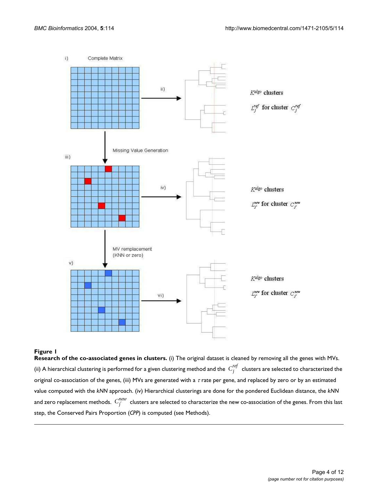

# Figure 1

**Research of the co-associated genes in clusters.** (i) The original dataset is cleaned by removing all the genes with MVs. (ii) A hierarchical clustering is performed for a given clustering method and the  $\ C_j^{ref}$  clusters are selected to characterized the original co-association of the genes, (iii) MVs are generated with a  $\tau$  rate per gene, and replaced by zero or by an estimated value computed with the *kNN* approach. (iv) Hierarchical clusterings are done for the pondered Euclidean distance, the *kNN*  and zero replacement methods.  $\ C^{new}_{j'}$  clusters are selected to characterize the new co-association of the genes. From this last step, the Conserved Pairs Proportion (*CPP*) is computed (see Methods).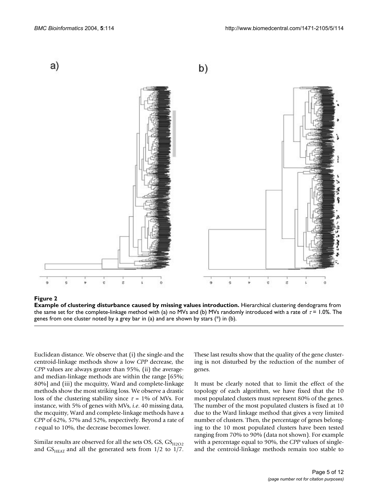<span id="page-5-0"></span>

#### **Figure 2**

**Example of clustering disturbance caused by missing values introduction.** Hierarchical clustering dendograms from the same set for the complete-linkage method with (a) no MVs and (b) MVs randomly introduced with a rate of  $\tau = 1.0\%$ . The genes from one cluster noted by a grey bar in (a) and are shown by stars  $(*)$  in (b).

Euclidean distance. We observe that (i) the single-and the centroid-linkage methods show a low *CPP* decrease, the *CPP* values are always greater than 95%, (ii) the averageand median-linkage methods are within the range [65%; 80%] and (iii) the mcquitty, Ward and complete-linkage methods show the most striking loss. We observe a drastic loss of the clustering stability since  $\tau = 1\%$  of MVs. For instance, with 5% of genes with MVs, *i.e*. 40 missing data, the mcquitty, Ward and complete-linkage methods have a *CPP* of 62%, 57% and 52%, respectively. Beyond a rate of  $\tau$  equal to 10%, the decrease becomes lower.

Similar results are observed for all the sets OS, GS,  $GS<sub>H2O2</sub>$ and  $GS<sub>HEAT</sub>$  and all the generated sets from  $1/2$  to  $1/7$ . These last results show that the quality of the gene clustering is not disturbed by the reduction of the number of genes.

It must be clearly noted that to limit the effect of the topology of each algorithm, we have fixed that the 10 most populated clusters must represent 80% of the genes. The number of the most populated clusters is fixed at 10 due to the Ward linkage method that gives a very limited number of clusters. Then, the percentage of genes belonging to the 10 most populated clusters have been tested ranging from 70% to 90% (data not shown). For example with a percentage equal to 90%, the *CPP* values of singleand the centroid-linkage methods remain too stable to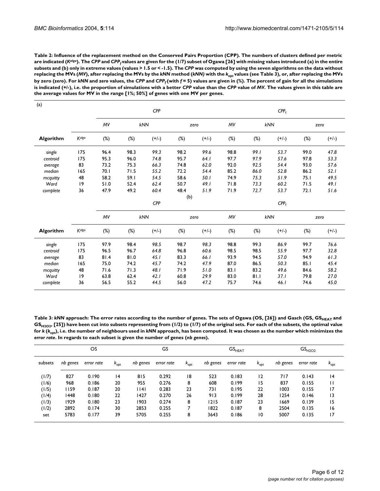<span id="page-6-0"></span>**Table 2: Influence of the replacement method on the Conserved Pairs Proportion (CPP). The numbers of clusters defined per metric are indicated (***Kalgo***). The** *CPP* **and** *CPPf* **values are given for the (1/7) subset of Ogawa [26] with missing values introduced (a) in the entire subsets and (b) only in extreme values (values > 1.5 or < -1.5). The** *CPP* **was computed by using the seven algorithms on the data without replacing the MVs (***MV***), after replacing the MVs by the** *kNN* **method (***kNN)* **with the** *kopt* **values (see Table 3), or, after replacing the MVs**  by zero (zero). For kNN and zero values, the CPP and CPP<sub>f</sub> (with  $f = 5$ ) values are given in (%). The percent of gain for all the simulations **is indicated (+/-), i.e. the proportion of simulations with a better** *CPP* **value than the** *CPP* **value of** *MV***. The values given in this table are the average values for MV in the range [1%; 50%] of genes with one MV per genes.**

| (a)              |       |      |        | CPP        |        | $CPP_f$ |        |        |            |        |         |
|------------------|-------|------|--------|------------|--------|---------|--------|--------|------------|--------|---------|
|                  |       | MV   |        | <b>kNN</b> |        | zero    | MV     |        | <b>kNN</b> |        | zero    |
| <b>Algorithm</b> | Kalgo | (%)  | $(\%)$ | $(+/-)$    | $(\%)$ | $(+/-)$ | $(\%)$ | $(\%)$ | $(+/-)$    | $(\%)$ | $(+/-)$ |
| single           | 175   | 96.4 | 98.3   | 99.3       | 98.2   | 99.6    | 98.8   | 99.I   | 53.7       | 99.0   | 47.8    |
| centroid         | 175   | 95.3 | 96.0   | 74.8       | 95.7   | 64.1    | 97.7   | 97.9   | 57.6       | 97.8   | 53.3    |
| average          | 83    | 73.2 | 75.3   | 66.3       | 74.8   | 62.0    | 92.0   | 92.5   | 54.4       | 93.0   | 57.6    |
| median           | 165   | 70.1 | 71.5   | 55.2       | 72.2   | 54.4    | 85.2   | 86.0   | 52.8       | 86.2   | 52.1    |
| mcquitty         | 48    | 58.2 | 59.I   | 54.5       | 58.6   | 50.1    | 74.9   | 75.3   | 51.9       | 75.1   | 49.5    |
| Ward             | 9     | 51.0 | 52.4   | 62.4       | 50.7   | 49.1    | 71.8   | 73.3   | 60.2       | 71.5   | 49.1    |
| complete         | 36    | 47.9 | 49.2   | 60.4       | 48.4   | 51.9    | 71.9   | 72.7   | 53.7       | 72.1   | 51.6    |
|                  |       |      |        |            | (b)    |         |        |        |            |        |         |
|                  |       |      |        | CPP        |        |         |        |        | $CPP_f$    |        |         |
|                  |       | MV   |        | <b>kNN</b> |        | zero    | MV     |        | <b>kNN</b> |        | zero    |
| <b>Algorithm</b> | Kalgo | (%)  | $(\%)$ | $(+/-)$    | $(\%)$ | $(+/-)$ | $(\%)$ | $(\%)$ | $(+/-)$    | $(\%)$ | $(+/-)$ |
| single           | 175   | 97.9 | 98.4   | 98.5       | 98.7   | 98.3    | 98.8   | 99.3   | 86.9       | 99.7   | 76.6    |
| centroid         | 175   | 96.5 | 96.7   | 64.8       | 96.8   | 60.6    | 98.5   | 98.5   | 55.9       | 97.7   | 32.8    |
| average          | 83    | 81.4 | 81.0   | 45.1       | 83.3   | 66.I    | 93.9   | 94.5   | 57.0       | 94.9   | 61.3    |
| median           | 165   | 75.0 | 74.2   | 45.7       | 74.2   | 47.9    | 87.0   | 86.5   | 50.3       | 85.1   | 45.4    |
| mcquitty         | 48    | 71.6 | 71.3   | 48.1       | 71.9   | 51.0    | 83.1   | 83.2   | 49.6       | 84.6   | 58.2    |
| Ward             | 9     | 63.8 | 62.4   | 42.1       | 60.8   | 29.9    | 83.0   | 81.1   | 37.1       | 79.8   | 27.0    |
| complete         | 36    | 56.5 | 55.2   | 44.5       | 56.0   | 47.2    | 75.7   | 74.6   | 46.1       | 74.6   | 45.0    |

<span id="page-6-1"></span>Table 3: *kNN* approach: The error rates according to the number of genes. The sets of Ogawa (OS, [26]) and Gasch (GS, GS<sub>HEAT</sub> and GS<sub>H2O2</sub>, [25]) have been cut into subsets representing from (1/2) to (1/7) of the original sets. For each of the subsets, the optimal value **for** *k* **(***kopt***), i.e. the number of neighbours used in** *kNN* **approach, has been computed. It was chosen as the number which minimizes the**  *error rate***. In regards to each subset is given the number of genes (***nb genes***).**

|         |          | OS         |           |          | GS         |           |          | $GS$ <sub>HEAT</sub> |                |          | GS <sub>H2O2</sub> |                 |
|---------|----------|------------|-----------|----------|------------|-----------|----------|----------------------|----------------|----------|--------------------|-----------------|
| subsets | nb genes | error rate | $k_{opt}$ | nb genes | error rate | $k_{opt}$ | nb genes | error rate           | $k_{opt}$      | nb genes | error rate         | $k_{opt}$       |
| (1/7)   | 827      | 0.190      | 4         | 815      | 0.292      | 18        | 523      | 0.183                | 12             | 717      | 0.143              | 4               |
| (1/6)   | 968      | 0.186      | 20        | 955      | 0.276      | 8         | 608      | 0.199                | 15             | 837      | 0.155              | $\mathbf{H}$    |
| (1/5)   | 1159     | 0.187      | 20        | l 141    | 0.283      | 23        | 73 I     | 0.195                | 22             | 1003     | 0.155              | $\overline{17}$ |
| (1/4)   | 1448     | 0.180      | 22        | 1427     | 0.270      | 26        | 913      | 0.199                | 28             | 1254     | 0.146              | 3               |
| (1/3)   | 1929     | 0.180      | 23        | 1903     | 0.274      | 8         | 1215     | 0.187                | 23             | 1669     | 0.139              | 15              |
| (1/2)   | 2892     | 0.174      | 30        | 2853     | 0.255      |           | 1822     | 0.187                | 8              | 2504     | 0.135              | 16              |
| set     | 5783     | 0.177      | 39        | 5705     | 0.255      | 8         | 3643     | 0.186                | $\overline{0}$ | 5007     | 0.135              | 17              |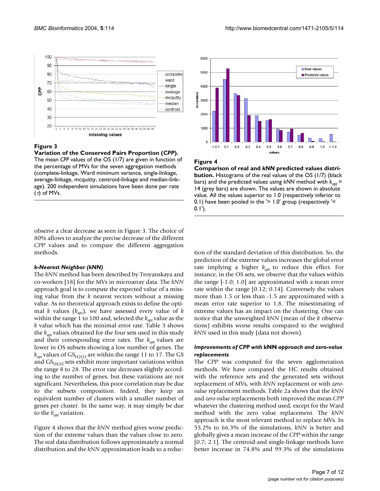

#### **Figure 3**

**Variation of the Conserved Pairs Proportion (***CPP***).**  The mean *CPP* values of the OS (1/7) are given in function of the percentage of MVs for the seven aggregation methods (complete-linkage, Ward minimum variance, single-linkage, average-linkage, mcquitty, centroid-linkage and median-linkage). 200 independent simulations have been done per rate  $(\tau)$  of MVs.

observe a clear decrease as seen in Figure 3. The choice of 80% allows to analyze the precise decrease of the different *CPP* values and to compare the different aggregation methods.

#### *k-Nearest Neighbor (kNN)*

The *kNN* method has been described by Troyanskaya and co-workers [18] for the MVs in microarray data. The *kNN* approach goal is to compute the expected value of a missing value from the *k* nearest vectors without a missing value. As no theoretical approach exists to define the optimal *k* values  $(k_{\text{opt}})$ , we have assessed every value of *k* within the range 1 to 100 and, selected the *kopt* value as the *k* value which has the minimal error rate. Table [3](#page-6-1) shows the *kopt* values obtained for the four sets used in this study and their corresponding error rates. The *kopt* values are lower in OS subsets showing a low number of genes. The  $k_{\text{opt}}$  values of  $GS_{H2O2}$  are within the range 11 to 17. The GS and  $GS<sub>HEAT</sub>$  sets exhibit more important variations within the range 8 to 28. The error rate decreases slightly according to the number of genes, but these variations are not significant. Nevertheless, this poor correlation may be due to the subsets composition. Indeed, they keep an equivalent number of clusters with a smaller number of genes per cluster. In the same way, it may simply be due to the *kopt* variation.

Figure 4 shows that the *kNN* method gives worse prediction of the extreme values than the values close to zero. The real data distribution follows approximately a normal distribution and the *kNN* approximation leads to a reduc-



#### Figure 4

**Comparison of real and** *kNN* **predicted values distribution.** Histograms of the real values of the OS (1/7) (black bars) and the predicted values using *kNN* method with  $k_{opt}$  = 14 (grey bars) are shown. The values are shown in absolute value. All the values superior to 1.0 (respectively inferior to 0.1) have been pooled in the '> 1.0' group (respectively '< 0.1').

tion of the standard deviation of this distribution. So, the prediction of the extreme values increases the global error rate implying a higher  $k_{\text{opt}}$  to reduce this effect. For instance, in the OS sets, we observe that the values within the range [-1.0; 1.0] are approximated with a mean error rate within the range [0.12; 0.14]. Conversely the values more than 1.5 or less than -1.5 are approximated with a mean error rate superior to 1.8. The misestimating of extreme values has an impact on the clustering. One can notice that the unweighted *kNN* (mean of the *k* observations) exhibits worse results compared to the weighted *kNN* used in this study (data not shown).

#### *Improvements of CPP with* **kNN** *approach and zero-value replacements*

The *CPP* was computed for the seven agglomeration methods. We have compared the HC results obtained with the reference sets and the generated sets without replacement of MVs, with *kNN* replacement or with *zerovalue* replacement methods. Table [2](#page-6-0)a shows that the *kNN* and *zero-value* replacements both improved the mean *CPP* whatever the clustering method used, except for the Ward method with the zero value replacement. The *kNN* approach is the most relevant method to replace MVs. In 55.2% to 66.3% of the simulations, *kNN* is better and globally gives a mean increase of the *CPP* within the range [0.7; 2.1]. The centroid-and single-linkage methods have better increase in 74.8% and 99.3% of the simulations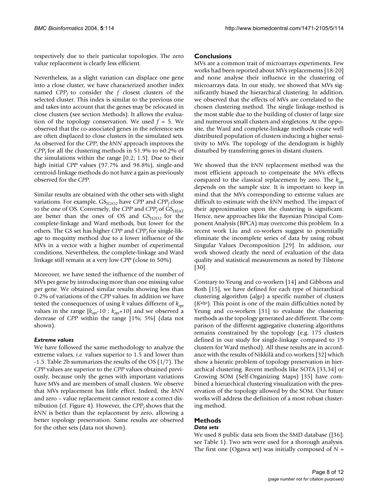respectively due to their particular topologies. The zero value replacement is clearly less efficient.

Nevertheless, as a slight variation can displace one gene into a close cluster, we have characterized another index named  $CPP_f$  to consider the *f* closest clusters of the selected cluster. This index is similar to the previous one and takes into account that the genes may be relocated in close clusters (see section Methods). It allows the evaluation of the topology conservation. We used  $f = 5$ . We observed that the co-associated genes in the reference sets are often displaced to close clusters in the simulated sets. As observed for the *CPP*, the *kNN* approach improves the *CPP*<sup> $f$ </sup> for all the clustering methods in 51.9% to 60.2% of the simulations within the range [0.2; 1.5]. Due to their high initial *CPP* values (97.7% and 98.8%), single-and centroid-linkage methods do not have a gain as previously observed for the *CPP*.

Similar results are obtained with the other sets with slight variations. For example,  $GS_{H2O2}$  have *CPP* and  $CPP_f$  close to the one of OS. Conversely, the *CPP* and  $CPP_f$  of  $GS<sub>HEAT</sub>$ are better than the ones of OS and  $GS<sub>H2O2</sub>$  for the complete-linkage and Ward methods, but lower for the others. The GS set has higher *CPP* and *CPPf* for single-likage to mcquitty method due to a lower influence of the MVs in a vector with a higher number of experimental conditions. Nevertheless, the complete-linkage and Ward linkage still remain at a very low *CPP* (close to 50%).

Moreover, we have tested the influence of the number of MVs per gene by introducing more than one missing value per gene. We obtained similar results showing less than 0.2% of variations of the *CPP* values. In addition we have tested the consequences of using *k* values different of *kopt* values in the range  $[k_{opt}$ -10 ;  $k_{opt}$ +10] and we observed a decrease of *CPP* within the range [1%; 5%] (data not shown).

#### *Extreme values*

We have followed the same methodology to analyze the extreme values, *i.e*. values superior to 1.5 and lower than -1.5. Table [2b](#page-6-0) summarizes the results of the OS (1/7). The *CPP* values are superior to the *CPP* values obtained previously, because only the genes with important variations have MVs and are members of small clusters. We observe that MVs replacement has little effect. Indeed, the *kNN* and zero – value replacement cannot restore a correct distribution (cf. Figure 4). However, the  $CPP_f$  shows that the *kNN* is better than the replacement by zero, allowing a better topology preservation. Same results are observed for the other sets (data not shown).

### **Conclusions**

MVs are a common trait of microarrays experiments. Few works had been reported about MVs replacements [18-20] and none analyse their influence in the clustering of microarrays data. In our study, we showed that MVs significantly biased the hierarchical clustering. In addition, we observed that the effects of MVs are correlated to the chosen clustering method. The single linkage-method is the most stable due to the building of cluster of large size and numerous small clusters and singletons. At the opposite, the Ward and complete-linkage methods create well distributed population of clusters inducing a higher sensitivity to MVs. The topology of the dendogram is highly disturbed by transferring genes in distant clusters.

We showed that the *kNN* replacement method was the most efficient approach to compensate the MVs effects compared to the classical replacement by zero. The *kopt* depends on the sample size. It is important to keep in mind that the MVs corresponding to extreme values are difficult to estimate with the *kNN* method. The impact of their approximation upon the clustering is significant. Hence, new approaches like the Bayesian Principal Component Analysis (BPCA) may overcome this problem. In a recent work Liu and co-workers suggest to potentially eliminate the incomplete series of data by using robust Singular Values Decomposition [29]. In addition, our work showed clearly the need of evaluation of the data quality and statistical measurements as noted by Tilstone [30].

Contrary to Yeung and co-workers [14] and Gibbons and Roth [15], we have defined for each type of hierarchical clustering algorithm (*algo*) a specific number of clusters (*Kalgo*). This point is one of the main difficulties noted by Yeung and co-workers [31] to evaluate the clustering methods as the topology generated are different. The comparison of the different aggregative clustering algorithms remains constrained by the topology (e.g. 175 clusters defined in our study for single-linkage compared to 19 clusters for Ward method). All these results are in accordance with the results of Nikkilä and co-workers [32] which show a hieratic problem of topology preservation in hierarchical clustering. Recent methods like SOTA [33,34] or Growing SOM (Self-Organizing Maps) [35] have combined a hierarchical clustering visualization with the preservation of the topology allowed by the SOM. Our future works will address the definition of a most robust clustering method.

# **Methods**

#### *Data sets*

We used 8 public data sets from the SMD database ([36]; see Table [1](#page-3-0)). Two sets were used for a thorough analysis. The first one (Ogawa set) was initially composed of *N* =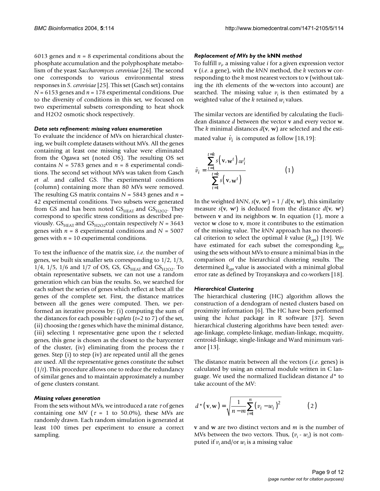6013 genes and  $n = 8$  experimental conditions about the phosphate accumulation and the polyphosphate metabolism of the yeast *Saccharomyces cerevisiae* [\[26](#page-12-1)]. The second one corresponds to various environmental stress responses in *S. cerevisiae* [25]. This set (Gasch set) contains *N* = 6153 genes and *n* = 178 experimental conditions. Due to the diversity of conditions in this set, we focused on two experimental subsets corresponding to heat shock and H2O2 osmotic shock respectively.

#### *Data sets refinement: missing values enumeration*

To evaluate the incidence of MVs on hierarchical clustering, we built complete datasets without MVs. All the genes containing at least one missing value were eliminated from the Ogawa set (noted OS). The resulting OS set contains  $N = 5783$  genes and  $n = 8$  experimental conditions. The second set without MVs was taken from Gasch *et al.* and called GS. The experimental conditions (column) containing more than 80 MVs were removed. The resulting GS matrix contains *N* = 5843 genes and *n* = 42 experimental conditions. Two subsets were generated from GS and has been noted  $GS<sub>HEAT</sub>$  and  $GS<sub>H2O2</sub>$ . They correspond to specific stress conditions as described previously. GS<sub>HEAT</sub> and GS<sub>H2O2</sub>contain respectively  $N = 3643$ genes with  $n = 8$  experimental conditions and  $N = 5007$ genes with  $n = 10$  experimental conditions.

To test the influence of the matrix size, *i.e*. the number of genes, we built six smaller sets corresponding to 1/2, 1/3, 1/4, 1/5, 1/6 and 1/7 of OS, GS,  $GS_{\text{HEAT}}$  and  $GS_{\text{H2O2}}$ . To obtain representative subsets, we can not use a random generation which can bias the results. So, we searched for each subset the series of genes which reflect at best all the genes of the complete set. First, the distance matrices between all the genes were computed. Then, we performed an iterative process by: (i) computing the sum of the distances for each possible *t-uplets* (*t=*2 to 7) of the set, (ii) choosing the *t* genes which have the minimal distance, (iii) selecting 1 representative gene upon the *t* selected genes, this gene is chosen as the closest to the barycenter of the cluster, (iv) eliminating from the process the *t* genes. Step (i) to step (iv) are repeated until all the genes are used. All the representative genes constitute the subset (1/*t*). This procedure allows one to reduce the redundancy of similar genes and to maintain approximately a number of gene clusters constant.

#### *Missing values generation*

From the sets without MVs, we introduced a rate  $\tau$  of genes containing one MV ( $\tau = 1$  to 50.0%), these MVs are randomly drawn. Each random simulation is generated at least 100 times per experiment to ensure a correct sampling.

#### *Replacement of MVs by the* **kNN** *method*

To fulfill *v<sup>i</sup>* , a missing value *i* for a given expression vector **v** (*i.e*. a gene), with the *kNN* method, the *k* vectors **w** corresponding to the *k* most nearest vectors to **v** (without taking the *i*th elements of the **w**-vectors into account) are searched. The missing value  $v_i$  is then estimated by a weighted value of the *k* retained *wi* values.

The similar vectors are identified by calculating the Euclidean distance *d* between the vector **v** and every vector **w**. The *k* minimal distances *d*(**v**, **w**) are selected and the estimated value  $\hat{v}_i$  is computed as follow [18,19]:

$$
\hat{v}_i = \frac{\sum_{t=1}^{t=k} s(\mathbf{v}, \mathbf{w}^t) . w_i^t}{\sum_{t=1}^{t=k} s(\mathbf{v}, \mathbf{w}^t)}
$$
(1)

In the weighted *kNN*,  $s(\mathbf{v}, \mathbf{w}^t) = 1 / d(\mathbf{v}, \mathbf{w}^t)$ , this similarity measure  $s(\mathbf{v}, \mathbf{w}^t)$  is deduced from the distance  $d(\mathbf{v}, \mathbf{w}^t)$ between **v** and its neighbors **w**. In equation (1), more a vector **w** close to **v**, more it contributes to the estimation of the missing value. The *kNN* approach has no theoretical criterion to select the optimal  $k$  value ( $k_{opt}$ ) [19]. We have estimated for each subset the corresponding *kopt* using the sets without MVs to ensure a minimal bias in the comparison of the hierarchical clustering results. The determined *kopt* value is associated with a minimal global error rate as defined by Troyanskaya and co-workers [18].

#### *Hierarchical Clustering*

The hierarchical clustering (HC) algorithm allows the construction of a dendogram of nested clusters based on proximity information [6]. The HC have been performed using the *hclust* package in R software [37]. Seven hierarchical clustering algorithms have been tested: average-linkage, complete-linkage, median-linkage, mcquitty, centroid-linkage, single-linkage and Ward minimum variance [13].

The distance matrix between all the vectors (*i.e*. genes) is calculated by using an external module written in C language. We used the normalized Euclidean distance *d\** to take account of the MV:

$$
d^{*}(v, w) = \sqrt{\frac{1}{n-m} \sum_{i=1}^{n} (v_i - w_i)^2}
$$
 (2)

**v** and **w** are two distinct vectors and *m* is the number of MVs between the two vectors. Thus,  $(v_i \cdot w_i)$  is not computed if  $v_i$  and/or  $w_i$  is a missing value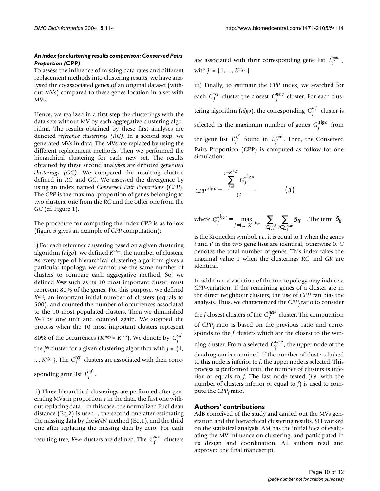# *An index for clustering results comparison: Conserved Pairs Proportion (***CPP***)*

To assess the influence of missing data rates and different replacement methods into clustering results, we have analysed the co-associated genes of an original dataset (without MVs) compared to these genes location in a set with MVs.

Hence, we realized in a first step the clusterings with the data sets without MV by each aggregative clustering algorithm. The results obtained by these first analyses are denoted *reference clusterings (RC)*. In a second step, we generated MVs in data. The MVs are replaced by using the different replacement methods. Then we performed the hierarchical clustering for each new set. The results obtained by these second analyses are denoted *generated clusterings (GC)*. We compared the resulting clusters defined in *RC* and *GC*. We assessed the divergence by using an index named *Conserved Pair Proportions* (*CPP*). The *CPP* is the maximal proportion of genes belonging to two clusters, one from the *RC* and the other one from the *GC* (cf. Figure 1).

The procedure for computing the index *CPP* is as follow (figure [5](#page-11-0) gives an example of *CPP* computation):

i) For each reference clustering based on a given clustering algorithm (*algo*), we defined *Kalgo*, the number of clusters. As every type of hierarchical clustering algorithm gives a particular topology, we cannot use the same number of clusters to compare each aggregative method. So, we defined *Kalgo* such as its 10 most important cluster must represent 80% of the genes. For this purpose, we defined *Kinit*, an important initial number of clusters (equals to 500), and counted the number of occurrences associated to the 10 most populated clusters. Then we diminished *Kinit* by one unit and counted again. We stopped the process when the 10 most important clusters represent 80% of the occurrences ( $K^{algo} = K^{init}$ ). We denote by  $C_j^{ref}$ the  $j<sup>th</sup>$  cluster for a given clustering algorithm with  $j = \{1,$ ..., *K<sup>algo</sup>*}. The  $C_j^{ref}$  clusters are associated with their corresponding gene list  $L_f^{ref}$  .

ii) Three hierarchical clusterings are performed after generating MVs in proportion  $\tau$  in the data, the first one without replacing data – in this case, the normalized Euclidean distance (Eq.2) is used -, the second one after estimating the missing data by the *kNN* method (Eq.1), and the third one after replacing the missing data by zero. For each resulting tree,  $K^{algo}$  clusters are defined. The  $C^{new}_{j'}$  clusters

are associated with their corresponding gene list  $L_j^{new}$ , with *j'* = {1, ..., *Kalgo* }. *new* ′

iii) Finally, to estimate the *CPP* index, we searched for each  $C_j^{ref}$  cluster the closest  $C_j^{new}$  cluster. For each clustering algorithm (*algo*), the corresponding  $C_j^{ref}$  cluster is selected as the maximum number of genes  $G_j^{a|g}$  from the gene list  $L_j^{ref}$  found in  $L_{j'}^{new}$ . Then, the Conserved Pairs Proportion (CPP) is computed as follow for one simulation: *new* ′

$$
CPP^{a\lg o} = \frac{\sum_{j=1}^{j=K^{a\lg o}} G_j^{a\lg o}}{G} \tag{3}
$$

where 
$$
G_j^{a \lg \theta} = \max_{j'=1,\dots,K^{a \lg \theta}} \left( \sum_{i \in L_j^{ref}} \sum_{i' \in L_j^{new}} \delta_{ii'} \right)
$$
. The term  $\delta_{ii'}$ 

is the Kronecker symbol, *i.e*. it is equal to 1 when the genes *i* and *i'* in the two gene lists are identical, otherwise 0. *G* denotes the total number of genes. This index takes the maximal value 1 when the clusterings *RC* and *GR* are identical.

In addition, a variation of the tree topology may induce a *CPP*-variation. If the remaining genes of a cluster are in the direct neighbour clusters, the use of *CPP* can bias the analysis. Thus, we characterized the  $CPP_f$  ratio to consider the *f* closest clusters of the  $C_j^{new}$  cluster. The computation of  $CPP_f$  ratio is based on the previous ratio and corresponds to the *f* clusters which are the closest to the winning cluster. From a selected  $C_j^{new}$ , the upper node of the dendrogram is examined. If the number of clusters linked to this node is inferior to *f*, the upper node is selected. This process is performed until the number of clusters is inferior or equals to *f*. The last node tested (*i.e*. with the number of clusters inferior or equal to *f*) is used to compute the *CPPf* ratio.

#### **Authors' contributions**

AdB conceived of the study and carried out the MVs generation and the hierarchical clustering results. SH worked on the statistical analysis. AM has the initial idea of evaluating the MV influence on clustering, and participated in its design and coordination. All authors read and approved the final manuscript.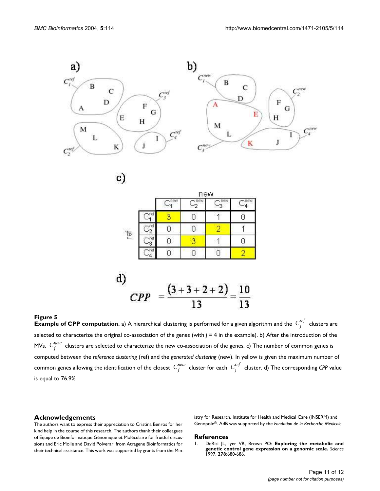<span id="page-11-0"></span>



|     |                   | new     |                               |                               |               |  |  |  |  |
|-----|-------------------|---------|-------------------------------|-------------------------------|---------------|--|--|--|--|
|     |                   | $C_{4}$ | $\mathsf{C}_2^{\mathsf{new}}$ | $\overline{C_3^{\text{new}}}$ | $\frac{1}{4}$ |  |  |  |  |
|     | Cref <sub>1</sub> | 3       | O                             | и                             |               |  |  |  |  |
| ref |                   | 0       |                               | 2                             |               |  |  |  |  |
|     |                   | 0       | 3                             |                               |               |  |  |  |  |
|     |                   | n       |                               | n                             | 2             |  |  |  |  |
| d)  |                   |         |                               |                               | 10            |  |  |  |  |
|     | CPP               |         | $(3+3+2+2)$<br>13             |                               | 13            |  |  |  |  |

# Example of CPP computation **Figure 5**

**Example of CPP computation.** a) A hierarchical clustering is performed for a given algorithm and the  $\ C_j^{ref}$  clusters are selected to characterize the original co-association of the genes (with *j* = 4 in the example). b) After the introduction of the MVs,  $C^{new}_{j'}$  clusters are selected to characterize the new co-association of the genes. c) The number of common genes is computed between the *reference clustering* (ref) and the *generated clustering* (new). In yellow is given the maximum number of common genes allowing the identification of the closest  $\ C^{new}_{j'}$  cluster for each  $\ C^{ref}_j$  cluster. d) The corresponding *CPP* value is equal to 76.9%

#### **Acknowledgements**

The authors want to express their appreciation to Cristina Benros for her kind help in the course of this research. The authors thank their colleagues of Equipe de Bioinformatique Génomique et Moléculaire for fruitful discussions and Eric Molle and David Polverari from Atragene Bioinformatics for their technical assistance. This work was supported by grants from the Ministry for Research, Institute for Health and Medical Care (INSERM) and Genopole®. AdB was supported by the *Fondation de la Recherche Médicale*.

#### **References**

1. DeRisi JL, Iyer VR, Brown PO: **[Exploring the metabolic and](http://www.ncbi.nlm.nih.gov/entrez/query.fcgi?cmd=Retrieve&db=PubMed&dopt=Abstract&list_uids=10.1126/science.278.5338.680) [genetic control gene expression on a genomic scale](http://www.ncbi.nlm.nih.gov/entrez/query.fcgi?cmd=Retrieve&db=PubMed&dopt=Abstract&list_uids=10.1126/science.278.5338.680)[.](http://www.ncbi.nlm.nih.gov/entrez/query.fcgi?cmd=Retrieve&db=PubMed&dopt=Abstract&list_uids=9381177)** *Science* 1997, **278:**680-686.